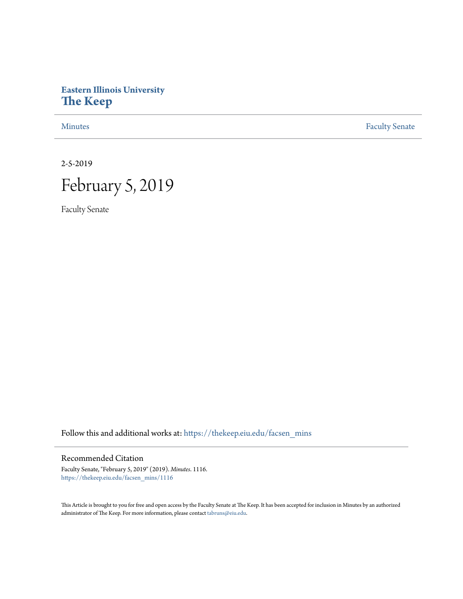## **Eastern Illinois University [The Keep](https://thekeep.eiu.edu?utm_source=thekeep.eiu.edu%2Ffacsen_mins%2F1116&utm_medium=PDF&utm_campaign=PDFCoverPages)**

[Minutes](https://thekeep.eiu.edu/facsen_mins?utm_source=thekeep.eiu.edu%2Ffacsen_mins%2F1116&utm_medium=PDF&utm_campaign=PDFCoverPages) **[Faculty Senate](https://thekeep.eiu.edu/fac_senate?utm_source=thekeep.eiu.edu%2Ffacsen_mins%2F1116&utm_medium=PDF&utm_campaign=PDFCoverPages)** 

2-5-2019

## February 5, 2019

Faculty Senate

Follow this and additional works at: [https://thekeep.eiu.edu/facsen\\_mins](https://thekeep.eiu.edu/facsen_mins?utm_source=thekeep.eiu.edu%2Ffacsen_mins%2F1116&utm_medium=PDF&utm_campaign=PDFCoverPages)

## Recommended Citation

Faculty Senate, "February 5, 2019" (2019). *Minutes*. 1116. [https://thekeep.eiu.edu/facsen\\_mins/1116](https://thekeep.eiu.edu/facsen_mins/1116?utm_source=thekeep.eiu.edu%2Ffacsen_mins%2F1116&utm_medium=PDF&utm_campaign=PDFCoverPages)

This Article is brought to you for free and open access by the Faculty Senate at The Keep. It has been accepted for inclusion in Minutes by an authorized administrator of The Keep. For more information, please contact [tabruns@eiu.edu.](mailto:tabruns@eiu.edu)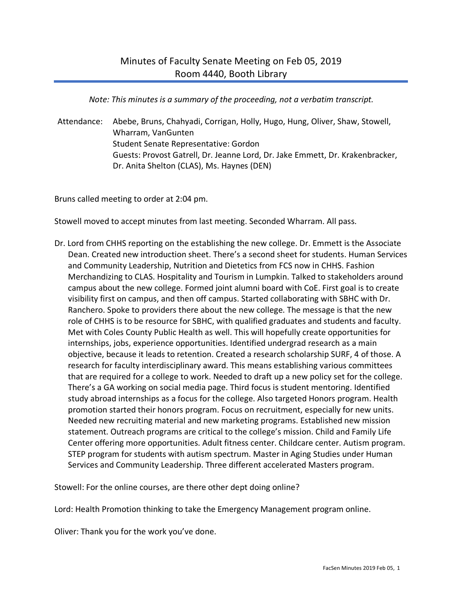*Note: This minutes is a summary of the proceeding, not a verbatim transcript.*

Attendance: Abebe, Bruns, Chahyadi, Corrigan, Holly, Hugo, Hung, Oliver, Shaw, Stowell, Wharram, VanGunten Student Senate Representative: Gordon Guests: Provost Gatrell, Dr. Jeanne Lord, Dr. Jake Emmett, Dr. Krakenbracker, Dr. Anita Shelton (CLAS), Ms. Haynes (DEN)

Bruns called meeting to order at 2:04 pm.

Stowell moved to accept minutes from last meeting. Seconded Wharram. All pass.

Dr. Lord from CHHS reporting on the establishing the new college. Dr. Emmett is the Associate Dean. Created new introduction sheet. There's a second sheet for students. Human Services and Community Leadership, Nutrition and Dietetics from FCS now in CHHS. Fashion Merchandizing to CLAS. Hospitality and Tourism in Lumpkin. Talked to stakeholders around campus about the new college. Formed joint alumni board with CoE. First goal is to create visibility first on campus, and then off campus. Started collaborating with SBHC with Dr. Ranchero. Spoke to providers there about the new college. The message is that the new role of CHHS is to be resource for SBHC, with qualified graduates and students and faculty. Met with Coles County Public Health as well. This will hopefully create opportunities for internships, jobs, experience opportunities. Identified undergrad research as a main objective, because it leads to retention. Created a research scholarship SURF, 4 of those. A research for faculty interdisciplinary award. This means establishing various committees that are required for a college to work. Needed to draft up a new policy set for the college. There's a GA working on social media page. Third focus is student mentoring. Identified study abroad internships as a focus for the college. Also targeted Honors program. Health promotion started their honors program. Focus on recruitment, especially for new units. Needed new recruiting material and new marketing programs. Established new mission statement. Outreach programs are critical to the college's mission. Child and Family Life Center offering more opportunities. Adult fitness center. Childcare center. Autism program. STEP program for students with autism spectrum. Master in Aging Studies under Human Services and Community Leadership. Three different accelerated Masters program.

Stowell: For the online courses, are there other dept doing online?

Lord: Health Promotion thinking to take the Emergency Management program online.

Oliver: Thank you for the work you've done.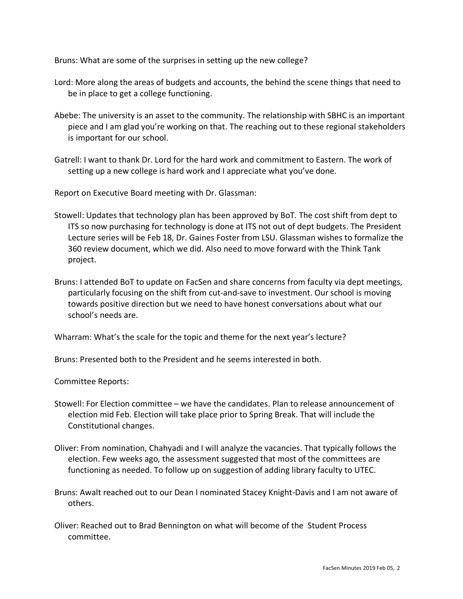Bruns: What are some of the surprises in setting up the new college?

- Lord: More along the areas of budgets and accounts, the behind the scene things that need to be in place to get a college functioning.
- Abebe: The university is an asset to the community. The relationship with SBHC is an important piece and I am glad you're working on that. The reaching out to these regional stakeholders is important for our school.
- Gatrell: I want to thank Dr. Lord for the hard work and commitment to Eastern. The work of setting up a new college is hard work and I appreciate what you've done.

Report on Executive Board meeting with Dr. Glassman:

- Stowell: Updates that technology plan has been approved by BoT. The cost shift from dept to ITS so now purchasing for technology is done at ITS not out of dept budgets. The President Lecture series will be Feb 18, Dr. Gaines Foster from LSU. Glassman wishes to formalize the 360 review document, which we did. Also need to move forward with the Think Tank project.
- Bruns: I attended BoT to update on FacSen and share concerns from faculty via dept meetings, particularly focusing on the shift from cut-and-save to investment. Our school is moving towards positive direction but we need to have honest conversations about what our school's needs are.

Wharram: What's the scale for the topic and theme for the next year's lecture?

Bruns: Presented both to the President and he seems interested in both.

Committee Reports:

- Stowell: For Election committee we have the candidates. Plan to release announcement of election mid Feb. Election will take place prior to Spring Break. That will include the Constitutional changes.
- Oliver: From nomination, Chahyadi and I will analyze the vacancies. That typically follows the election. Few weeks ago, the assessment suggested that most of the committees are functioning as needed. To follow up on suggestion of adding library faculty to UTEC.
- Bruns: Awalt reached out to our Dean I nominated Stacey Knight-Davis and I am not aware of others.
- Oliver: Reached out to Brad Bennington on what will become of the Student Process committee.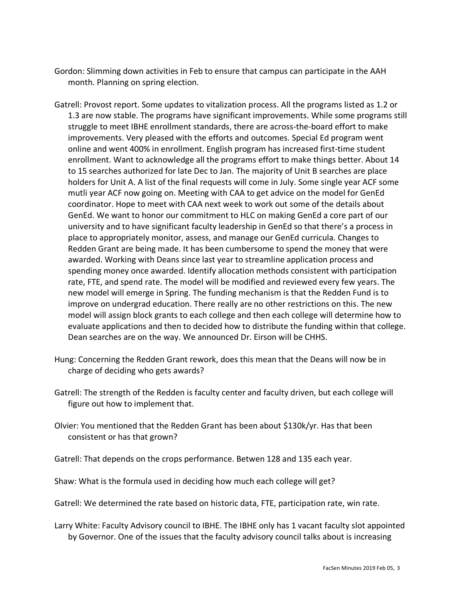- Gordon: Slimming down activities in Feb to ensure that campus can participate in the AAH month. Planning on spring election.
- Gatrell: Provost report. Some updates to vitalization process. All the programs listed as 1.2 or 1.3 are now stable. The programs have significant improvements. While some programs still struggle to meet IBHE enrollment standards, there are across-the-board effort to make improvements. Very pleased with the efforts and outcomes. Special Ed program went online and went 400% in enrollment. English program has increased first-time student enrollment. Want to acknowledge all the programs effort to make things better. About 14 to 15 searches authorized for late Dec to Jan. The majority of Unit B searches are place holders for Unit A. A list of the final requests will come in July. Some single year ACF some mutli year ACF now going on. Meeting with CAA to get advice on the model for GenEd coordinator. Hope to meet with CAA next week to work out some of the details about GenEd. We want to honor our commitment to HLC on making GenEd a core part of our university and to have significant faculty leadership in GenEd so that there's a process in place to appropriately monitor, assess, and manage our GenEd curricula. Changes to Redden Grant are being made. It has been cumbersome to spend the money that were awarded. Working with Deans since last year to streamline application process and spending money once awarded. Identify allocation methods consistent with participation rate, FTE, and spend rate. The model will be modified and reviewed every few years. The new model will emerge in Spring. The funding mechanism is that the Redden Fund is to improve on undergrad education. There really are no other restrictions on this. The new model will assign block grants to each college and then each college will determine how to evaluate applications and then to decided how to distribute the funding within that college. Dean searches are on the way. We announced Dr. Eirson will be CHHS.
- Hung: Concerning the Redden Grant rework, does this mean that the Deans will now be in charge of deciding who gets awards?
- Gatrell: The strength of the Redden is faculty center and faculty driven, but each college will figure out how to implement that.
- Olvier: You mentioned that the Redden Grant has been about \$130k/yr. Has that been consistent or has that grown?
- Gatrell: That depends on the crops performance. Betwen 128 and 135 each year.
- Shaw: What is the formula used in deciding how much each college will get?
- Gatrell: We determined the rate based on historic data, FTE, participation rate, win rate.
- Larry White: Faculty Advisory council to IBHE. The IBHE only has 1 vacant faculty slot appointed by Governor. One of the issues that the faculty advisory council talks about is increasing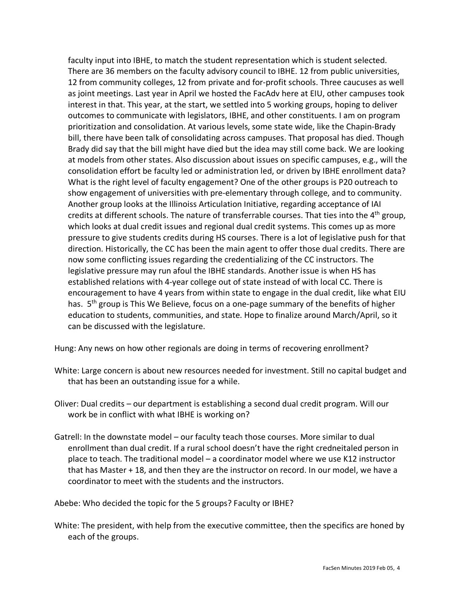faculty input into IBHE, to match the student representation which is student selected. There are 36 members on the faculty advisory council to IBHE. 12 from public universities, 12 from community colleges, 12 from private and for-profit schools. Three caucuses as well as joint meetings. Last year in April we hosted the FacAdv here at EIU, other campuses took interest in that. This year, at the start, we settled into 5 working groups, hoping to deliver outcomes to communicate with legislators, IBHE, and other constituents. I am on program prioritization and consolidation. At various levels, some state wide, like the Chapin-Brady bill, there have been talk of consolidating across campuses. That proposal has died. Though Brady did say that the bill might have died but the idea may still come back. We are looking at models from other states. Also discussion about issues on specific campuses, e.g., will the consolidation effort be faculty led or administration led, or driven by IBHE enrollment data? What is the right level of faculty engagement? One of the other groups is P20 outreach to show engagement of universities with pre-elementary through college, and to community. Another group looks at the Illinoiss Articulation Initiative, regarding acceptance of IAI credits at different schools. The nature of transferrable courses. That ties into the  $4<sup>th</sup>$  group, which looks at dual credit issues and regional dual credit systems. This comes up as more pressure to give students credits during HS courses. There is a lot of legislative push for that direction. Historically, the CC has been the main agent to offer those dual credits. There are now some conflicting issues regarding the credentializing of the CC instructors. The legislative pressure may run afoul the IBHE standards. Another issue is when HS has established relations with 4-year college out of state instead of with local CC. There is encouragement to have 4 years from within state to engage in the dual credit, like what EIU has. 5<sup>th</sup> group is This We Believe, focus on a one-page summary of the benefits of higher education to students, communities, and state. Hope to finalize around March/April, so it can be discussed with the legislature.

Hung: Any news on how other regionals are doing in terms of recovering enrollment?

- White: Large concern is about new resources needed for investment. Still no capital budget and that has been an outstanding issue for a while.
- Oliver: Dual credits our department is establishing a second dual credit program. Will our work be in conflict with what IBHE is working on?
- Gatrell: In the downstate model our faculty teach those courses. More similar to dual enrollment than dual credit. If a rural school doesn't have the right credneitaled person in place to teach. The traditional model – a coordinator model where we use K12 instructor that has Master + 18, and then they are the instructor on record. In our model, we have a coordinator to meet with the students and the instructors.

Abebe: Who decided the topic for the 5 groups? Faculty or IBHE?

White: The president, with help from the executive committee, then the specifics are honed by each of the groups.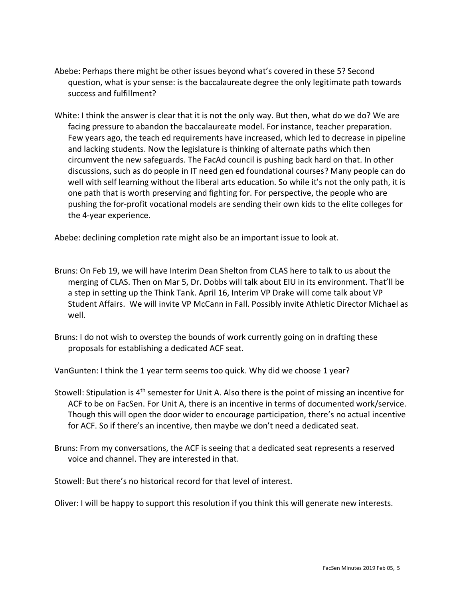- Abebe: Perhaps there might be other issues beyond what's covered in these 5? Second question, what is your sense: is the baccalaureate degree the only legitimate path towards success and fulfillment?
- White: I think the answer is clear that it is not the only way. But then, what do we do? We are facing pressure to abandon the baccalaureate model. For instance, teacher preparation. Few years ago, the teach ed requirements have increased, which led to decrease in pipeline and lacking students. Now the legislature is thinking of alternate paths which then circumvent the new safeguards. The FacAd council is pushing back hard on that. In other discussions, such as do people in IT need gen ed foundational courses? Many people can do well with self learning without the liberal arts education. So while it's not the only path, it is one path that is worth preserving and fighting for. For perspective, the people who are pushing the for-profit vocational models are sending their own kids to the elite colleges for the 4-year experience.

Abebe: declining completion rate might also be an important issue to look at.

- Bruns: On Feb 19, we will have Interim Dean Shelton from CLAS here to talk to us about the merging of CLAS. Then on Mar 5, Dr. Dobbs will talk about EIU in its environment. That'll be a step in setting up the Think Tank. April 16, Interim VP Drake will come talk about VP Student Affairs. We will invite VP McCann in Fall. Possibly invite Athletic Director Michael as well.
- Bruns: I do not wish to overstep the bounds of work currently going on in drafting these proposals for establishing a dedicated ACF seat.

VanGunten: I think the 1 year term seems too quick. Why did we choose 1 year?

- Stowell: Stipulation is 4<sup>th</sup> semester for Unit A. Also there is the point of missing an incentive for ACF to be on FacSen. For Unit A, there is an incentive in terms of documented work/service. Though this will open the door wider to encourage participation, there's no actual incentive for ACF. So if there's an incentive, then maybe we don't need a dedicated seat.
- Bruns: From my conversations, the ACF is seeing that a dedicated seat represents a reserved voice and channel. They are interested in that.

Stowell: But there's no historical record for that level of interest.

Oliver: I will be happy to support this resolution if you think this will generate new interests.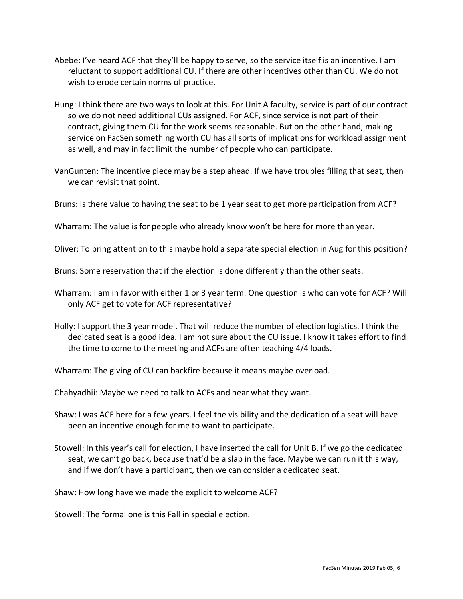- Abebe: I've heard ACF that they'll be happy to serve, so the service itself is an incentive. I am reluctant to support additional CU. If there are other incentives other than CU. We do not wish to erode certain norms of practice.
- Hung: I think there are two ways to look at this. For Unit A faculty, service is part of our contract so we do not need additional CUs assigned. For ACF, since service is not part of their contract, giving them CU for the work seems reasonable. But on the other hand, making service on FacSen something worth CU has all sorts of implications for workload assignment as well, and may in fact limit the number of people who can participate.
- VanGunten: The incentive piece may be a step ahead. If we have troubles filling that seat, then we can revisit that point.
- Bruns: Is there value to having the seat to be 1 year seat to get more participation from ACF?

Wharram: The value is for people who already know won't be here for more than year.

Oliver: To bring attention to this maybe hold a separate special election in Aug for this position?

Bruns: Some reservation that if the election is done differently than the other seats.

- Wharram: I am in favor with either 1 or 3 year term. One question is who can vote for ACF? Will only ACF get to vote for ACF representative?
- Holly: I support the 3 year model. That will reduce the number of election logistics. I think the dedicated seat is a good idea. I am not sure about the CU issue. I know it takes effort to find the time to come to the meeting and ACFs are often teaching 4/4 loads.

Wharram: The giving of CU can backfire because it means maybe overload.

Chahyadhii: Maybe we need to talk to ACFs and hear what they want.

- Shaw: I was ACF here for a few years. I feel the visibility and the dedication of a seat will have been an incentive enough for me to want to participate.
- Stowell: In this year's call for election, I have inserted the call for Unit B. If we go the dedicated seat, we can't go back, because that'd be a slap in the face. Maybe we can run it this way, and if we don't have a participant, then we can consider a dedicated seat.

Shaw: How long have we made the explicit to welcome ACF?

Stowell: The formal one is this Fall in special election.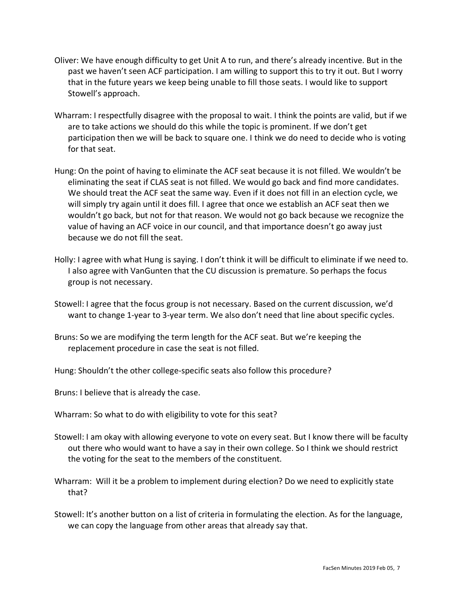- Oliver: We have enough difficulty to get Unit A to run, and there's already incentive. But in the past we haven't seen ACF participation. I am willing to support this to try it out. But I worry that in the future years we keep being unable to fill those seats. I would like to support Stowell's approach.
- Wharram: I respectfully disagree with the proposal to wait. I think the points are valid, but if we are to take actions we should do this while the topic is prominent. If we don't get participation then we will be back to square one. I think we do need to decide who is voting for that seat.
- Hung: On the point of having to eliminate the ACF seat because it is not filled. We wouldn't be eliminating the seat if CLAS seat is not filled. We would go back and find more candidates. We should treat the ACF seat the same way. Even if it does not fill in an election cycle, we will simply try again until it does fill. I agree that once we establish an ACF seat then we wouldn't go back, but not for that reason. We would not go back because we recognize the value of having an ACF voice in our council, and that importance doesn't go away just because we do not fill the seat.
- Holly: I agree with what Hung is saying. I don't think it will be difficult to eliminate if we need to. I also agree with VanGunten that the CU discussion is premature. So perhaps the focus group is not necessary.
- Stowell: I agree that the focus group is not necessary. Based on the current discussion, we'd want to change 1-year to 3-year term. We also don't need that line about specific cycles.
- Bruns: So we are modifying the term length for the ACF seat. But we're keeping the replacement procedure in case the seat is not filled.
- Hung: Shouldn't the other college-specific seats also follow this procedure?

Bruns: I believe that is already the case.

- Wharram: So what to do with eligibility to vote for this seat?
- Stowell: I am okay with allowing everyone to vote on every seat. But I know there will be faculty out there who would want to have a say in their own college. So I think we should restrict the voting for the seat to the members of the constituent.
- Wharram: Will it be a problem to implement during election? Do we need to explicitly state that?
- Stowell: It's another button on a list of criteria in formulating the election. As for the language, we can copy the language from other areas that already say that.